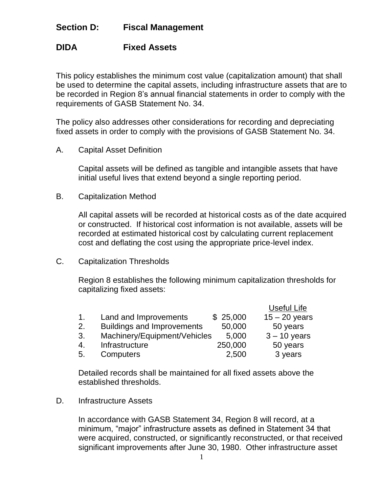## **Section D: Fiscal Management**

## **DIDA Fixed Assets**

This policy establishes the minimum cost value (capitalization amount) that shall be used to determine the capital assets, including infrastructure assets that are to be recorded in Region 8's annual financial statements in order to comply with the requirements of GASB Statement No. 34.

The policy also addresses other considerations for recording and depreciating fixed assets in order to comply with the provisions of GASB Statement No. 34.

A. Capital Asset Definition

Capital assets will be defined as tangible and intangible assets that have initial useful lives that extend beyond a single reporting period.

B. Capitalization Method

All capital assets will be recorded at historical costs as of the date acquired or constructed. If historical cost information is not available, assets will be recorded at estimated historical cost by calculating current replacement cost and deflating the cost using the appropriate price-level index.

C. Capitalization Thresholds

Region 8 establishes the following minimum capitalization thresholds for capitalizing fixed assets:

|                |                                   |          | Useful Life     |
|----------------|-----------------------------------|----------|-----------------|
| $\mathbf{1}$ . | Land and Improvements             | \$25,000 | $15 - 20$ years |
| 2.             | <b>Buildings and Improvements</b> | 50,000   | 50 years        |
| 3.             | Machinery/Equipment/Vehicles      | 5,000    | $3 - 10$ years  |
| -4.            | Infrastructure                    | 250,000  | 50 years        |
| 5.             | Computers                         | 2,500    | 3 years         |

Detailed records shall be maintained for all fixed assets above the established thresholds.

D. Infrastructure Assets

In accordance with GASB Statement 34, Region 8 will record, at a minimum, "major" infrastructure assets as defined in Statement 34 that were acquired, constructed, or significantly reconstructed, or that received significant improvements after June 30, 1980. Other infrastructure asset